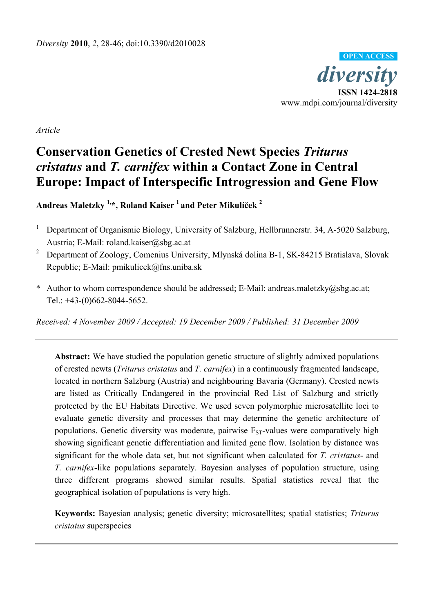

*Article* 

# **Conservation Genetics of Crested Newt Species** *Triturus cristatus* **and** *T. carnifex* **within a Contact Zone in Central Europe: Impact of Interspecific Introgression and Gene Flow**

**Andreas Maletzky 1,\*, Roland Kaiser 1 and Peter Mikulíček 2**

- 1 Department of Organismic Biology, University of Salzburg, Hellbrunnerstr. 34, A-5020 Salzburg, Austria; E-Mail: roland.kaiser@sbg.ac.at
- 2 Department of Zoology, Comenius University, Mlynská dolina B-1, SK-84215 Bratislava, Slovak Republic; E-Mail: pmikulicek@fns.uniba.sk
- \* Author to whom correspondence should be addressed; E-Mail: andreas.maletzky@sbg.ac.at; Tel.: +43-(0)662-8044-5652.

*Received: 4 November 2009 / Accepted: 19 December 2009 / Published: 31 December 2009* 

**Abstract:** We have studied the population genetic structure of slightly admixed populations of crested newts (*Triturus cristatus* and *T. carnifex*) in a continuously fragmented landscape, located in northern Salzburg (Austria) and neighbouring Bavaria (Germany). Crested newts are listed as Critically Endangered in the provincial Red List of Salzburg and strictly protected by the EU Habitats Directive. We used seven polymorphic microsatellite loci to evaluate genetic diversity and processes that may determine the genetic architecture of populations. Genetic diversity was moderate, pairwise  $F_{ST}$ -values were comparatively high showing significant genetic differentiation and limited gene flow. Isolation by distance was significant for the whole data set, but not significant when calculated for *T. cristatus*- and *T. carnifex*-like populations separately. Bayesian analyses of population structure, using three different programs showed similar results. Spatial statistics reveal that the geographical isolation of populations is very high.

**Keywords:** Bayesian analysis; genetic diversity; microsatellites; spatial statistics; *Triturus cristatus* superspecies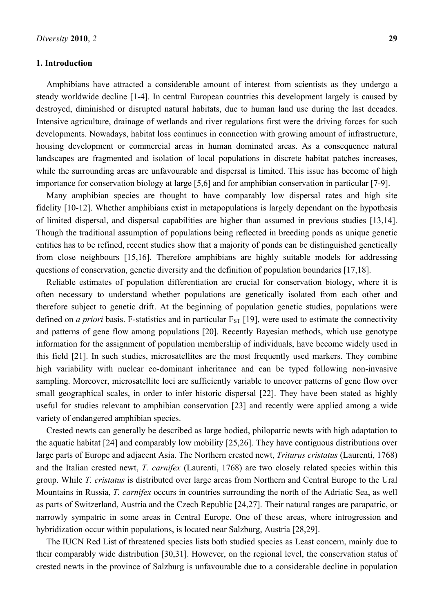## **1. Introduction**

Amphibians have attracted a considerable amount of interest from scientists as they undergo a steady worldwide decline [1-4]. In central European countries this development largely is caused by destroyed, diminished or disrupted natural habitats, due to human land use during the last decades. Intensive agriculture, drainage of wetlands and river regulations first were the driving forces for such developments. Nowadays, habitat loss continues in connection with growing amount of infrastructure, housing development or commercial areas in human dominated areas. As a consequence natural landscapes are fragmented and isolation of local populations in discrete habitat patches increases, while the surrounding areas are unfavourable and dispersal is limited. This issue has become of high importance for conservation biology at large [5,6] and for amphibian conservation in particular [7-9].

Many amphibian species are thought to have comparably low dispersal rates and high site fidelity [10-12]. Whether amphibians exist in metapopulations is largely dependant on the hypothesis of limited dispersal, and dispersal capabilities are higher than assumed in previous studies [13,14]. Though the traditional assumption of populations being reflected in breeding ponds as unique genetic entities has to be refined, recent studies show that a majority of ponds can be distinguished genetically from close neighbours [15,16]. Therefore amphibians are highly suitable models for addressing questions of conservation, genetic diversity and the definition of population boundaries [17,18].

Reliable estimates of population differentiation are crucial for conservation biology, where it is often necessary to understand whether populations are genetically isolated from each other and therefore subject to genetic drift. At the beginning of population genetic studies, populations were defined on *a priori* basis. F-statistics and in particular  $F_{ST}$  [19], were used to estimate the connectivity and patterns of gene flow among populations [20]. Recently Bayesian methods, which use genotype information for the assignment of population membership of individuals, have become widely used in this field [21]. In such studies, microsatellites are the most frequently used markers. They combine high variability with nuclear co-dominant inheritance and can be typed following non-invasive sampling. Moreover, microsatellite loci are sufficiently variable to uncover patterns of gene flow over small geographical scales, in order to infer historic dispersal [22]. They have been stated as highly useful for studies relevant to amphibian conservation [23] and recently were applied among a wide variety of endangered amphibian species.

Crested newts can generally be described as large bodied, philopatric newts with high adaptation to the aquatic habitat [24] and comparably low mobility [25,26]. They have contiguous distributions over large parts of Europe and adjacent Asia. The Northern crested newt, *Triturus cristatus* (Laurenti, 1768) and the Italian crested newt, *T. carnifex* (Laurenti, 1768) are two closely related species within this group. While *T. cristatus* is distributed over large areas from Northern and Central Europe to the Ural Mountains in Russia, *T. carnifex* occurs in countries surrounding the north of the Adriatic Sea, as well as parts of Switzerland, Austria and the Czech Republic [24,27]. Their natural ranges are parapatric, or narrowly sympatric in some areas in Central Europe. One of these areas, where introgression and hybridization occur within populations, is located near Salzburg, Austria [28,29].

The IUCN Red List of threatened species lists both studied species as Least concern, mainly due to their comparably wide distribution [30,31]. However, on the regional level, the conservation status of crested newts in the province of Salzburg is unfavourable due to a considerable decline in population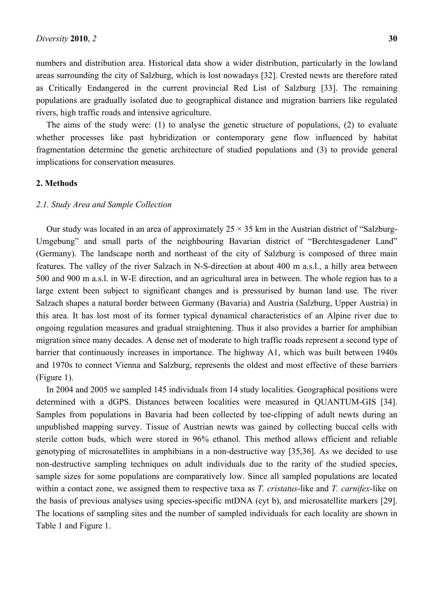numbers and distribution area. Historical data show a wider distribution, particularly in the lowland areas surrounding the city of Salzburg, which is lost nowadays [32]. Crested newts are therefore rated as Critically Endangered in the current provincial Red List of Salzburg [33]. The remaining populations are gradually isolated due to geographical distance and migration barriers like regulated rivers, high traffic roads and intensive agriculture.

The aims of the study were: (1) to analyse the genetic structure of populations, (2) to evaluate whether processes like past hybridization or contemporary gene flow influenced by habitat fragmentation determine the genetic architecture of studied populations and (3) to provide general implications for conservation measures.

## **2. Methods**

# *2.1. Study Area and Sample Collection*

Our study was located in an area of approximately  $25 \times 35$  km in the Austrian district of "Salzburg-Umgebung" and small parts of the neighbouring Bavarian district of "Berchtesgadener Land" (Germany). The landscape north and northeast of the city of Salzburg is composed of three main features. The valley of the river Salzach in N-S-direction at about 400 m a.s.l., a hilly area between 500 and 900 m a.s.l. in W-E direction, and an agricultural area in between. The whole region has to a large extent been subject to significant changes and is pressurised by human land use. The river Salzach shapes a natural border between Germany (Bavaria) and Austria (Salzburg, Upper Austria) in this area. It has lost most of its former typical dynamical characteristics of an Alpine river due to ongoing regulation measures and gradual straightening. Thus it also provides a barrier for amphibian migration since many decades. A dense net of moderate to high traffic roads represent a second type of barrier that continuously increases in importance. The highway A1, which was built between 1940s and 1970s to connect Vienna and Salzburg, represents the oldest and most effective of these barriers (Figure 1).

In 2004 and 2005 we sampled 145 individuals from 14 study localities. Geographical positions were determined with a dGPS. Distances between localities were measured in QUANTUM-GIS [34]. Samples from populations in Bavaria had been collected by toe-clipping of adult newts during an unpublished mapping survey. Tissue of Austrian newts was gained by collecting buccal cells with sterile cotton buds, which were stored in 96% ethanol. This method allows efficient and reliable genotyping of microsatellites in amphibians in a non-destructive way [35,36]. As we decided to use non-destructive sampling techniques on adult individuals due to the rarity of the studied species, sample sizes for some populations are comparatively low. Since all sampled populations are located within a contact zone, we assigned them to respective taxa as *T. cristatus*-like and *T. carnifex*-like on the basis of previous analyses using species-specific mtDNA (cyt b), and microsatellite markers [29]. The locations of sampling sites and the number of sampled individuals for each locality are shown in Table 1 and Figure 1.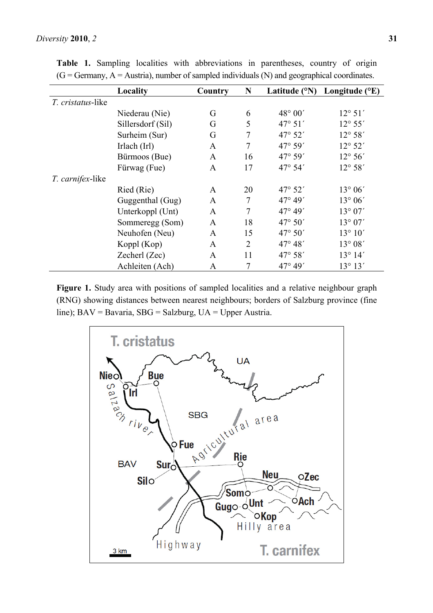|                           | Locality          | Country      | N              |                  | Latitude ( $\rm^{\circ}N$ ) Longitude ( $\rm^{\circ}E$ ) |
|---------------------------|-------------------|--------------|----------------|------------------|----------------------------------------------------------|
| <i>T. cristatus</i> -like |                   |              |                |                  |                                                          |
|                           | Niederau (Nie)    | G            | 6              | 48° 00'          | $12^{\circ} 51'$                                         |
|                           | Sillersdorf (Sil) | G            | 5              | $47^{\circ} 51'$ | $12^{\circ} 55'$                                         |
|                           | Surheim (Sur)     | G            | 7              | $47^{\circ} 52'$ | $12^{\circ} 58'$                                         |
|                           | Irlach (Irl)      | $\mathbf{A}$ | 7              | 47° 59'          | $12^{\circ} 52'$                                         |
|                           | Bürmoos (Bue)     | $\mathbf{A}$ | 16             | 47° 59'          | $12^{\circ} 56'$                                         |
|                           | Fürwag (Fue)      | $\mathbf{A}$ | 17             | 47° 54'          | $12^{\circ} 58'$                                         |
| <i>T. carnifex</i> -like  |                   |              |                |                  |                                                          |
|                           | Ried (Rie)        | $\mathbf{A}$ | 20             | 47° 52'          | $13^{\circ} 06'$                                         |
|                           | Guggenthal (Gug)  | $\mathbf{A}$ | 7              | $47^{\circ} 49'$ | $13^{\circ} 06'$                                         |
|                           | Unterkoppl (Unt)  | $\mathbf{A}$ | 7              | $47^{\circ} 49'$ | $13^{\circ} 07'$                                         |
|                           | Sommeregg (Som)   | $\mathbf{A}$ | 18             | $47^{\circ} 50'$ | 13° 07'                                                  |
|                           | Neuhofen (Neu)    | $\mathbf{A}$ | 15             | $47^{\circ} 50'$ | $13^{\circ} 10'$                                         |
|                           | Koppl (Kop)       | A            | $\overline{2}$ | $47^{\circ} 48'$ | $13^{\circ} 08'$                                         |
|                           | Zecherl (Zec)     | $\mathbf{A}$ | 11             | 47° 58'          | $13^{\circ} 14'$                                         |
|                           | Achleiten (Ach)   | A            | 7              | $47^{\circ} 49'$ | $13^{\circ} 13'$                                         |

**Table 1.** Sampling localities with abbreviations in parentheses, country of origin  $(G = Germany, A = Austria)$ , number of sampled individuals  $(N)$  and geographical coordinates.

Figure 1. Study area with positions of sampled localities and a relative neighbour graph (RNG) showing distances between nearest neighbours; borders of Salzburg province (fine line); BAV = Bavaria, SBG = Salzburg, UA = Upper Austria.

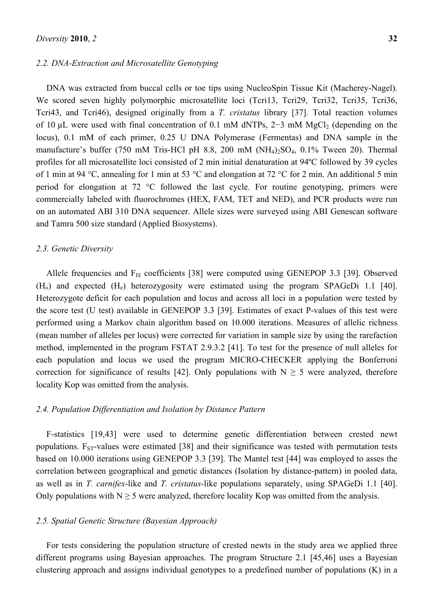#### *2.2. DNA-Extraction and Microsatellite Genotyping*

DNA was extracted from buccal cells or toe tips using NucleoSpin Tissue Kit (Macherey-Nagel). We scored seven highly polymorphic microsatellite loci (Tcri13, Tcri29, Tcri32, Tcri35, Tcri36, Tcri43, and Tcri46), designed originally from a *T. cristatus* library [37]. Total reaction volumes of 10 uL were used with final concentration of 0.1 mM dNTPs, 2–3 mM MgCl (depending on the locus), 0.1 mM of each primer, 0.25 U DNA Polymerase (Fermentas) and DNA sample in the manufacture's buffer (750 mM Tris-HCl pH 8.8, 200 mM  $(NH<sub>4</sub>)<sub>2</sub>SO<sub>4</sub>$ , 0.1% Tween 20). Thermal profiles for all microsatellite loci consisted of 2 min initial denaturation at 94ºC followed by 39 cycles of 1 min at 94 °C, annealing for 1 min at 53 °C and elongation at 72 °C for 2 min. An additional 5 min period for elongation at 72 °C followed the last cycle. For routine genotyping, primers were commercially labeled with fluorochromes (HEX, FAM, TET and NED), and PCR products were run on an automated ABI 310 DNA sequencer. Allele sizes were surveyed using ABI Genescan software and Tamra 500 size standard (Applied Biosystems).

#### *2.3. Genetic Diversity*

Allele frequencies and  $F_{IS}$  coefficients [38] were computed using GENEPOP 3.3 [39]. Observed  $(H<sub>o</sub>)$  and expected  $(H<sub>e</sub>)$  heterozygosity were estimated using the program SPAGeDi 1.1 [40]. Heterozygote deficit for each population and locus and across all loci in a population were tested by the score test (U test) available in GENEPOP 3.3 [39]. Estimates of exact P-values of this test were performed using a Markov chain algorithm based on 10.000 iterations. Measures of allelic richness (mean number of alleles per locus) were corrected for variation in sample size by using the rarefaction method, implemented in the program FSTAT 2.9.3.2 [41]. To test for the presence of null alleles for each population and locus we used the program MICRO-CHECKER applying the Bonferroni correction for significance of results [42]. Only populations with  $N \ge 5$  were analyzed, therefore locality Kop was omitted from the analysis.

## *2.4. Population Differentiation and Isolation by Distance Pattern*

F-statistics [19,43] were used to determine genetic differentiation between crested newt populations.  $F_{ST}$ -values were estimated [38] and their significance was tested with permutation tests based on 10.000 iterations using GENEPOP 3.3 [39]. The Mantel test [44] was employed to asses the correlation between geographical and genetic distances (Isolation by distance-pattern) in pooled data, as well as in *T. carnifex*-like and *T. cristatus*-like populations separately, using SPAGeDi 1.1 [40]. Only populations with  $N \ge 5$  were analyzed, therefore locality Kop was omitted from the analysis.

## *2.5. Spatial Genetic Structure (Bayesian Approach)*

For tests considering the population structure of crested newts in the study area we applied three different programs using Bayesian approaches. The program Structure 2.1 [45,46] uses a Bayesian clustering approach and assigns individual genotypes to a predefined number of populations (K) in a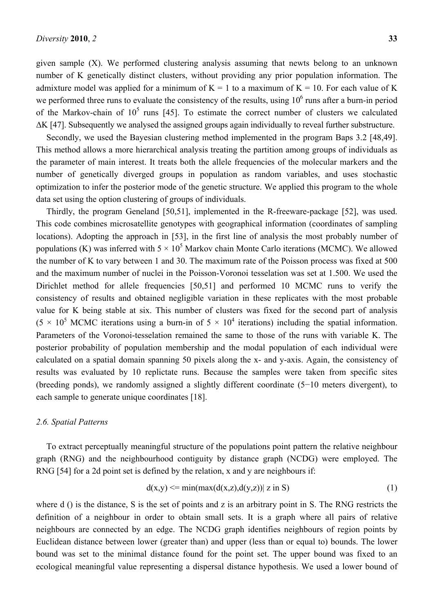given sample (X). We performed clustering analysis assuming that newts belong to an unknown number of K genetically distinct clusters, without providing any prior population information. The admixture model was applied for a minimum of  $K = 1$  to a maximum of  $K = 10$ . For each value of K we performed three runs to evaluate the consistency of the results, using  $10<sup>6</sup>$  runs after a burn-in period of the Markov-chain of  $10^5$  runs [45]. To estimate the correct number of clusters we calculated ΔK [47]. Subsequently we analysed the assigned groups again individually to reveal further substructure.

Secondly, we used the Bayesian clustering method implemented in the program Baps 3.2 [48,49]. This method allows a more hierarchical analysis treating the partition among groups of individuals as the parameter of main interest. It treats both the allele frequencies of the molecular markers and the number of genetically diverged groups in population as random variables, and uses stochastic optimization to infer the posterior mode of the genetic structure. We applied this program to the whole data set using the option clustering of groups of individuals.

Thirdly, the program Geneland [50,51], implemented in the R-freeware-package [52], was used. This code combines microsatellite genotypes with geographical information (coordinates of sampling locations). Adopting the approach in [53], in the first line of analysis the most probably number of populations (K) was inferred with  $5 \times 10^5$  Markov chain Monte Carlo iterations (MCMC). We allowed the number of K to vary between 1 and 30. The maximum rate of the Poisson process was fixed at 500 and the maximum number of nuclei in the Poisson-Voronoi tesselation was set at 1.500. We used the Dirichlet method for allele frequencies [50,51] and performed 10 MCMC runs to verify the consistency of results and obtained negligible variation in these replicates with the most probable value for K being stable at six. This number of clusters was fixed for the second part of analysis  $(5 \times 10^5 \text{ MCMC})$  iterations using a burn-in of  $5 \times 10^4$  iterations) including the spatial information. Parameters of the Voronoi-tesselation remained the same to those of the runs with variable K. The posterior probability of population membership and the modal population of each individual were calculated on a spatial domain spanning 50 pixels along the x- and y-axis. Again, the consistency of results was evaluated by 10 replictate runs. Because the samples were taken from specific sites (breeding ponds), we randomly assigned a slightly different coordinate (5−10 meters divergent), to each sample to generate unique coordinates [18].

## *2.6. Spatial Patterns*

To extract perceptually meaningful structure of the populations point pattern the relative neighbour graph (RNG) and the neighbourhood contiguity by distance graph (NCDG) were employed. The RNG [54] for a 2d point set is defined by the relation, x and y are neighbours if:

$$
d(x,y) \le \min(\max(d(x,z),d(y,z)) \mid z \text{ in } S) \tag{1}
$$

where d () is the distance, S is the set of points and z is an arbitrary point in S. The RNG restricts the definition of a neighbour in order to obtain small sets. It is a graph where all pairs of relative neighbours are connected by an edge. The NCDG graph identifies neighbours of region points by Euclidean distance between lower (greater than) and upper (less than or equal to) bounds. The lower bound was set to the minimal distance found for the point set. The upper bound was fixed to an ecological meaningful value representing a dispersal distance hypothesis. We used a lower bound of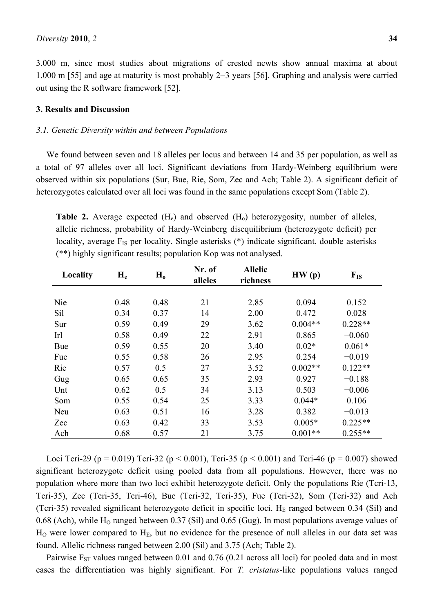3.000 m, since most studies about migrations of crested newts show annual maxima at about 1.000 m [55] and age at maturity is most probably 2−3 years [56]. Graphing and analysis were carried out using the R software framework [52].

## **3. Results and Discussion**

#### *3.1. Genetic Diversity within and between Populations*

We found between seven and 18 alleles per locus and between 14 and 35 per population, as well as a total of 97 alleles over all loci. Significant deviations from Hardy-Weinberg equilibrium were observed within six populations (Sur, Bue, Rie, Som, Zec and Ach; Table 2). A significant deficit of heterozygotes calculated over all loci was found in the same populations except Som (Table 2).

**Table 2.** Average expected (H<sub>e</sub>) and observed (H<sub>0</sub>) heterozygosity, number of alleles, allelic richness, probability of Hardy-Weinberg disequilibrium (heterozygote deficit) per locality, average  $F_{IS}$  per locality. Single asterisks  $(*)$  indicate significant, double asterisks (\*\*) highly significant results; population Kop was not analysed.

| Locality | $H_e$ | $H_0$ | Nr. of<br>alleles | <b>Allelic</b><br>richness | HW(p)     | $F_{IS}$  |
|----------|-------|-------|-------------------|----------------------------|-----------|-----------|
|          |       |       |                   |                            |           |           |
| Nie      | 0.48  | 0.48  | 21                | 2.85                       | 0.094     | 0.152     |
| Sil      | 0.34  | 0.37  | 14                | 2.00                       | 0.472     | 0.028     |
| Sur      | 0.59  | 0.49  | 29                | 3.62                       | $0.004**$ | $0.228**$ |
| Irl      | 0.58  | 0.49  | 22                | 2.91                       | 0.865     | $-0.060$  |
| Bue      | 0.59  | 0.55  | 20                | 3.40                       | $0.02*$   | $0.061*$  |
| Fue      | 0.55  | 0.58  | 26                | 2.95                       | 0.254     | $-0.019$  |
| Rie      | 0.57  | 0.5   | 27                | 3.52                       | $0.002**$ | $0.122**$ |
| Gug      | 0.65  | 0.65  | 35                | 2.93                       | 0.927     | $-0.188$  |
| Unt      | 0.62  | 0.5   | 34                | 3.13                       | 0.503     | $-0.006$  |
| Som      | 0.55  | 0.54  | 25                | 3.33                       | $0.044*$  | 0.106     |
| Neu      | 0.63  | 0.51  | 16                | 3.28                       | 0.382     | $-0.013$  |
| Zec      | 0.63  | 0.42  | 33                | 3.53                       | $0.005*$  | $0.225**$ |
| Ach      | 0.68  | 0.57  | 21                | 3.75                       | $0.001**$ | $0.255**$ |

Loci Tcri-29 (p = 0.019) Tcri-32 (p < 0.001), Tcri-35 (p < 0.001) and Tcri-46 (p = 0.007) showed significant heterozygote deficit using pooled data from all populations. However, there was no population where more than two loci exhibit heterozygote deficit. Only the populations Rie (Tcri-13, Tcri-35), Zec (Tcri-35, Tcri-46), Bue (Tcri-32, Tcri-35), Fue (Tcri-32), Som (Tcri-32) and Ach (Tcri-35) revealed significant heterozygote deficit in specific loci. H<sub>E</sub> ranged between 0.34 (Sil) and 0.68 (Ach), while  $H_0$  ranged between 0.37 (Sil) and 0.65 (Gug). In most populations average values of  $H<sub>0</sub>$  were lower compared to  $H<sub>E</sub>$ , but no evidence for the presence of null alleles in our data set was found. Allelic richness ranged between 2.00 (Sil) and 3.75 (Ach; Table 2).

Pairwise  $F_{ST}$  values ranged between 0.01 and 0.76 (0.21 across all loci) for pooled data and in most cases the differentiation was highly significant. For *T. cristatus*-like populations values ranged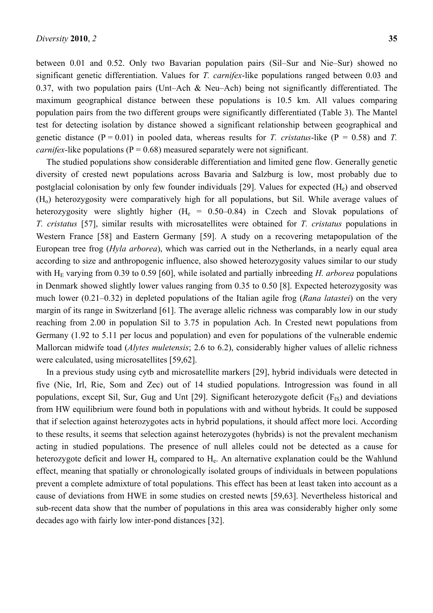between 0.01 and 0.52. Only two Bavarian population pairs (Sil–Sur and Nie–Sur) showed no significant genetic differentiation. Values for *T. carnifex*-like populations ranged between 0.03 and 0.37, with two population pairs (Unt–Ach & Neu–Ach) being not significantly differentiated. The maximum geographical distance between these populations is 10.5 km. All values comparing population pairs from the two different groups were significantly differentiated (Table 3). The Mantel test for detecting isolation by distance showed a significant relationship between geographical and genetic distance  $(P = 0.01)$  in pooled data, whereas results for *T. cristatus*-like  $(P = 0.58)$  and *T. carnifex*-like populations ( $P = 0.68$ ) measured separately were not significant.

The studied populations show considerable differentiation and limited gene flow. Generally genetic diversity of crested newt populations across Bavaria and Salzburg is low, most probably due to postglacial colonisation by only few founder individuals [29]. Values for expected  $(H_e)$  and observed (Ho) heterozygosity were comparatively high for all populations, but Sil. While average values of heterozygosity were slightly higher  $(H_e = 0.50-0.84)$  in Czech and Slovak populations of *T. cristatus* [57], similar results with microsatellites were obtained for *T. cristatus* populations in Western France [58] and Eastern Germany [59]. A study on a recovering metapopulation of the European tree frog (*Hyla arborea*), which was carried out in the Netherlands, in a nearly equal area according to size and anthropogenic influence, also showed heterozygosity values similar to our study with  $H<sub>E</sub>$  varying from 0.39 to 0.59 [60], while isolated and partially inbreeding *H. arborea* populations in Denmark showed slightly lower values ranging from 0.35 to 0.50 [8]. Expected heterozygosity was much lower (0.21–0.32) in depleted populations of the Italian agile frog (*Rana latastei*) on the very margin of its range in Switzerland [61]. The average allelic richness was comparably low in our study reaching from 2.00 in population Sil to 3.75 in population Ach. In Crested newt populations from Germany (1.92 to 5.11 per locus and population) and even for populations of the vulnerable endemic Mallorcan midwife toad (*Alytes muletensis*; 2.6 to 6.2), considerably higher values of allelic richness were calculated, using microsatellites [59,62].

In a previous study using cytb and microsatellite markers [29], hybrid individuals were detected in five (Nie, Irl, Rie, Som and Zec) out of 14 studied populations. Introgression was found in all populations, except Sil, Sur, Gug and Unt [29]. Significant heterozygote deficit  $(F_{IS})$  and deviations from HW equilibrium were found both in populations with and without hybrids. It could be supposed that if selection against heterozygotes acts in hybrid populations, it should affect more loci. According to these results, it seems that selection against heterozygotes (hybrids) is not the prevalent mechanism acting in studied populations. The presence of null alleles could not be detected as a cause for heterozygote deficit and lower  $H_0$  compared to  $H_e$ . An alternative explanation could be the Wahlund effect, meaning that spatially or chronologically isolated groups of individuals in between populations prevent a complete admixture of total populations. This effect has been at least taken into account as a cause of deviations from HWE in some studies on crested newts [59,63]. Nevertheless historical and sub-recent data show that the number of populations in this area was considerably higher only some decades ago with fairly low inter-pond distances [32].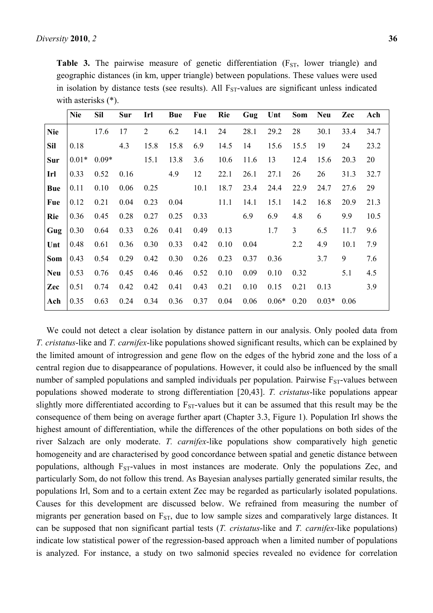|            | <b>Nie</b> | <b>Sil</b> | Sur  | Irl            | <b>Bue</b> | Fue  | Rie  | Gug  | Unt     | <b>Som</b>     | <b>Neu</b> | Zec  | Ach  |
|------------|------------|------------|------|----------------|------------|------|------|------|---------|----------------|------------|------|------|
| <b>Nie</b> |            | 17.6       | 17   | $\overline{2}$ | 6.2        | 14.1 | 24   | 28.1 | 29.2    | 28             | 30.1       | 33.4 | 34.7 |
| <b>Sil</b> | 0.18       |            | 4.3  | 15.8           | 15.8       | 6.9  | 14.5 | 14   | 15.6    | 15.5           | 19         | 24   | 23.2 |
| Sur        | $0.01*$    | $0.09*$    |      | 15.1           | 13.8       | 3.6  | 10.6 | 11.6 | 13      | 12.4           | 15.6       | 20.3 | 20   |
| Irl        | 0.33       | 0.52       | 0.16 |                | 4.9        | 12   | 22.1 | 26.1 | 27.1    | 26             | 26         | 31.3 | 32.7 |
| Bue        | 0.11       | 0.10       | 0.06 | 0.25           |            | 10.1 | 18.7 | 23.4 | 24.4    | 22.9           | 24.7       | 27.6 | 29   |
| Fue        | 0.12       | 0.21       | 0.04 | 0.23           | 0.04       |      | 11.1 | 14.1 | 15.1    | 14.2           | 16.8       | 20.9 | 21.3 |
| <b>Rie</b> | 0.36       | 0.45       | 0.28 | 0.27           | 0.25       | 0.33 |      | 6.9  | 6.9     | 4.8            | 6          | 9.9  | 10.5 |
| Gug        | 0.30       | 0.64       | 0.33 | 0.26           | 0.41       | 0.49 | 0.13 |      | 1.7     | $\overline{3}$ | 6.5        | 11.7 | 9.6  |
| Unt        | 0.48       | 0.61       | 0.36 | 0.30           | 0.33       | 0.42 | 0.10 | 0.04 |         | 2.2            | 4.9        | 10.1 | 7.9  |
| Som        | 0.43       | 0.54       | 0.29 | 0.42           | 0.30       | 0.26 | 0.23 | 0.37 | 0.36    |                | 3.7        | 9    | 7.6  |
| Neu        | 0.53       | 0.76       | 0.45 | 0.46           | 0.46       | 0.52 | 0.10 | 0.09 | 0.10    | 0.32           |            | 5.1  | 4.5  |
| Zec        | 0.51       | 0.74       | 0.42 | 0.42           | 0.41       | 0.43 | 0.21 | 0.10 | 0.15    | 0.21           | 0.13       |      | 3.9  |
| Ach        | 0.35       | 0.63       | 0.24 | 0.34           | 0.36       | 0.37 | 0.04 | 0.06 | $0.06*$ | 0.20           | $0.03*$    | 0.06 |      |
|            |            |            |      |                |            |      |      |      |         |                |            |      |      |

We could not detect a clear isolation by distance pattern in our analysis. Only pooled data from *T. cristatus*-like and *T. carnifex*-like populations showed significant results, which can be explained by the limited amount of introgression and gene flow on the edges of the hybrid zone and the loss of a central region due to disappearance of populations. However, it could also be influenced by the small number of sampled populations and sampled individuals per population. Pairwise  $F_{ST}$ -values between populations showed moderate to strong differentiation [20,43]. *T. cristatus*-like populations appear slightly more differentiated according to  $F_{ST}$ -values but it can be assumed that this result may be the consequence of them being on average further apart (Chapter 3.3, Figure 1). Population Irl shows the highest amount of differentiation, while the differences of the other populations on both sides of the river Salzach are only moderate. *T. carnifex*-like populations show comparatively high genetic homogeneity and are characterised by good concordance between spatial and genetic distance between populations, although  $F_{ST}$ -values in most instances are moderate. Only the populations Zec, and particularly Som, do not follow this trend. As Bayesian analyses partially generated similar results, the populations Irl, Som and to a certain extent Zec may be regarded as particularly isolated populations. Causes for this development are discussed below. We refrained from measuring the number of migrants per generation based on  $F_{ST}$ , due to low sample sizes and comparatively large distances. It can be supposed that non significant partial tests (*T. cristatus*-like and *T. carnifex*-like populations) indicate low statistical power of the regression-based approach when a limited number of populations is analyzed. For instance, a study on two salmonid species revealed no evidence for correlation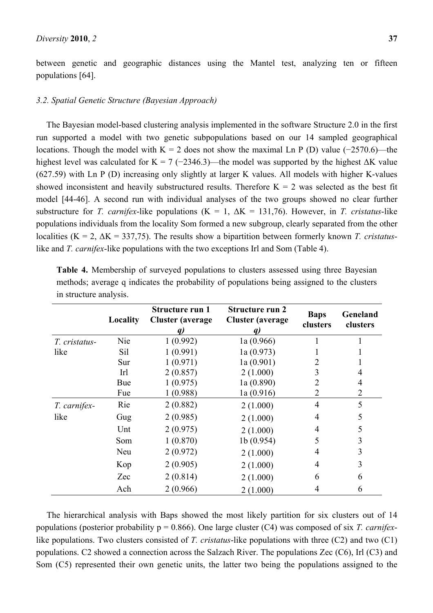between genetic and geographic distances using the Mantel test, analyzing ten or fifteen populations [64].

# *3.2. Spatial Genetic Structure (Bayesian Approach)*

The Bayesian model-based clustering analysis implemented in the software Structure 2.0 in the first run supported a model with two genetic subpopulations based on our 14 sampled geographical locations. Though the model with K = 2 does not show the maximal Ln P (D) value (−2570.6)—the highest level was calculated for K = 7 (-2346.3)—the model was supported by the highest  $\Delta K$  value (627.59) with Ln P (D) increasing only slightly at larger K values. All models with higher K-values showed inconsistent and heavily substructured results. Therefore  $K = 2$  was selected as the best fit model [44-46]. A second run with individual analyses of the two groups showed no clear further substructure for *T. carnifex*-like populations (K = 1,  $\Delta K = 131,76$ ). However, in *T. cristatus*-like populations individuals from the locality Som formed a new subgroup, clearly separated from the other localities (K = 2, ΔK = 337,75). The results show a bipartition between formerly known *T. cristatus*like and *T. carnifex*-like populations with the two exceptions Irl and Som (Table 4).

|               | Locality | Structure run 1<br><b>Cluster</b> (average | <b>Structure run 2</b><br><b>Cluster</b> (average | <b>Baps</b><br>clusters | Geneland<br>clusters |
|---------------|----------|--------------------------------------------|---------------------------------------------------|-------------------------|----------------------|
| T. cristatus- | Nie      | 1(0.992)                                   | 1a(0.966)                                         |                         |                      |
| like          | Sil      | 1(0.991)                                   | 1a(0.973)                                         |                         |                      |
|               | Sur      | 1(0.971)                                   | 1a(0.901)                                         |                         |                      |
|               | Irl      | 2(0.857)                                   | 2(1.000)                                          | 3                       |                      |
|               | Bue      | 1(0.975)                                   | 1a(0.890)                                         | 2                       | 4                    |
|               | Fue      | 1(0.988)                                   | 1a(0.916)                                         | 2                       | 2                    |
| T. carnifex-  | Rie      | 2(0.882)                                   | 2(1.000)                                          | $\overline{4}$          | 5                    |
| like          | Gug      | 2(0.985)                                   | 2(1.000)                                          | 4                       | 5                    |
|               | Unt      | 2(0.975)                                   | 2(1.000)                                          | 4                       | 5                    |
|               | Som      | 1(0.870)                                   | 1b(0.954)                                         | 5                       | 3                    |
|               | Neu      | 2(0.972)                                   | 2(1.000)                                          | 4                       | 3                    |
|               | Kop      | 2(0.905)                                   | 2(1.000)                                          | 4                       | 3                    |
|               | Zec      | 2(0.814)                                   | 2(1.000)                                          | 6                       | 6                    |
|               | Ach      | 2(0.966)                                   | 2(1.000)                                          | 4                       | 6                    |

**Table 4.** Membership of surveyed populations to clusters assessed using three Bayesian methods; average q indicates the probability of populations being assigned to the clusters in structure analysis.

The hierarchical analysis with Baps showed the most likely partition for six clusters out of 14 populations (posterior probability p = 0.866). One large cluster (C4) was composed of six *T. carnifex*like populations. Two clusters consisted of *T. cristatus*-like populations with three (C2) and two (C1) populations. C2 showed a connection across the Salzach River. The populations Zec (C6), Irl (C3) and Som (C5) represented their own genetic units, the latter two being the populations assigned to the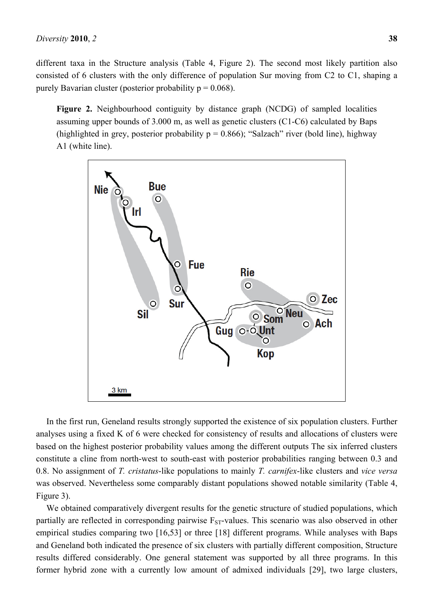different taxa in the Structure analysis (Table 4, Figure 2). The second most likely partition also consisted of 6 clusters with the only difference of population Sur moving from C2 to C1, shaping a purely Bavarian cluster (posterior probability  $p = 0.068$ ).

**Figure 2.** Neighbourhood contiguity by distance graph (NCDG) of sampled localities assuming upper bounds of 3.000 m, as well as genetic clusters (C1-C6) calculated by Baps (highlighted in grey, posterior probability  $p = 0.866$ ); "Salzach" river (bold line), highway A1 (white line).



In the first run, Geneland results strongly supported the existence of six population clusters. Further analyses using a fixed K of 6 were checked for consistency of results and allocations of clusters were based on the highest posterior probability values among the different outputs The six inferred clusters constitute a cline from north-west to south-east with posterior probabilities ranging between 0.3 and 0.8. No assignment of *T. cristatus*-like populations to mainly *T. carnifex*-like clusters and *vice versa* was observed. Nevertheless some comparably distant populations showed notable similarity (Table 4, Figure 3).

We obtained comparatively divergent results for the genetic structure of studied populations, which partially are reflected in corresponding pairwise  $F_{ST}$ -values. This scenario was also observed in other empirical studies comparing two [16,53] or three [18] different programs. While analyses with Baps and Geneland both indicated the presence of six clusters with partially different composition, Structure results differed considerably. One general statement was supported by all three programs. In this former hybrid zone with a currently low amount of admixed individuals [29], two large clusters,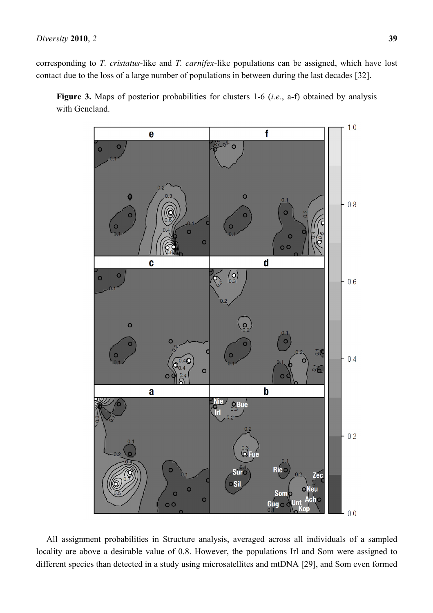corresponding to *T. cristatus*-like and *T. carnifex*-like populations can be assigned, which have lost contact due to the loss of a large number of populations in between during the last decades [32].





All assignment probabilities in Structure analysis, averaged across all individuals of a sampled locality are above a desirable value of 0.8. However, the populations Irl and Som were assigned to different species than detected in a study using microsatellites and mtDNA [29], and Som even formed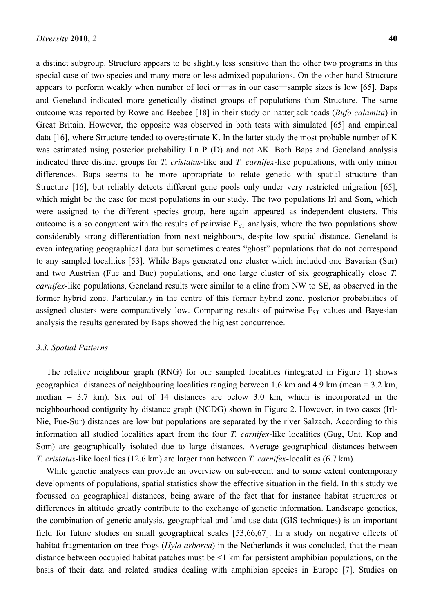a distinct subgroup. Structure appears to be slightly less sensitive than the other two programs in this special case of two species and many more or less admixed populations. On the other hand Structure appears to perform weakly when number of loci or—as in our case—sample sizes is low [65]. Baps and Geneland indicated more genetically distinct groups of populations than Structure. The same outcome was reported by Rowe and Beebee [18] in their study on natterjack toads (*Bufo calamita*) in Great Britain. However, the opposite was observed in both tests with simulated [65] and empirical data [16], where Structure tended to overestimate K. In the latter study the most probable number of K was estimated using posterior probability Ln P (D) and not ΔK. Both Baps and Geneland analysis indicated three distinct groups for *T. cristatus*-like and *T. carnifex*-like populations, with only minor differences. Baps seems to be more appropriate to relate genetic with spatial structure than Structure [16], but reliably detects different gene pools only under very restricted migration [65], which might be the case for most populations in our study. The two populations Irl and Som, which were assigned to the different species group, here again appeared as independent clusters. This outcome is also congruent with the results of pairwise  $F_{ST}$  analysis, where the two populations show considerably strong differentiation from next neighbours, despite low spatial distance. Geneland is even integrating geographical data but sometimes creates "ghost" populations that do not correspond to any sampled localities [53]. While Baps generated one cluster which included one Bavarian (Sur) and two Austrian (Fue and Bue) populations, and one large cluster of six geographically close *T. carnifex*-like populations, Geneland results were similar to a cline from NW to SE, as observed in the former hybrid zone. Particularly in the centre of this former hybrid zone, posterior probabilities of assigned clusters were comparatively low. Comparing results of pairwise  $F_{ST}$  values and Bayesian analysis the results generated by Baps showed the highest concurrence.

# *3.3. Spatial Patterns*

The relative neighbour graph (RNG) for our sampled localities (integrated in Figure 1) shows geographical distances of neighbouring localities ranging between 1.6 km and 4.9 km (mean = 3.2 km, median  $= 3.7$  km). Six out of 14 distances are below 3.0 km, which is incorporated in the neighbourhood contiguity by distance graph (NCDG) shown in Figure 2. However, in two cases (Irl-Nie, Fue-Sur) distances are low but populations are separated by the river Salzach. According to this information all studied localities apart from the four *T. carnifex*-like localities (Gug, Unt, Kop and Som) are geographically isolated due to large distances. Average geographical distances between *T. cristatus*-like localities (12.6 km) are larger than between *T. carnifex*-localities (6.7 km).

While genetic analyses can provide an overview on sub-recent and to some extent contemporary developments of populations, spatial statistics show the effective situation in the field. In this study we focussed on geographical distances, being aware of the fact that for instance habitat structures or differences in altitude greatly contribute to the exchange of genetic information. Landscape genetics, the combination of genetic analysis, geographical and land use data (GIS-techniques) is an important field for future studies on small geographical scales [53,66,67]. In a study on negative effects of habitat fragmentation on tree frogs (*Hyla arborea*) in the Netherlands it was concluded, that the mean distance between occupied habitat patches must be <1 km for persistent amphibian populations, on the basis of their data and related studies dealing with amphibian species in Europe [7]. Studies on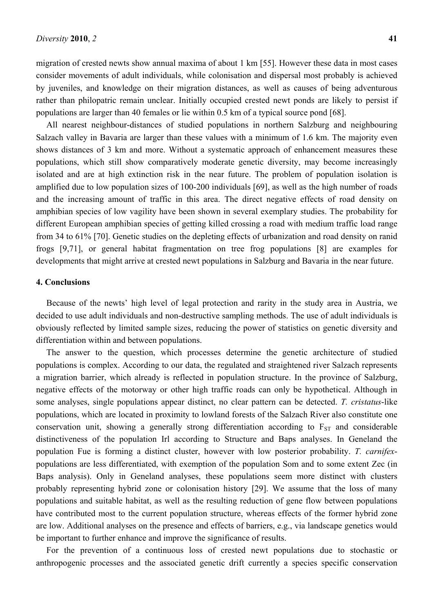migration of crested newts show annual maxima of about 1 km [55]. However these data in most cases consider movements of adult individuals, while colonisation and dispersal most probably is achieved by juveniles, and knowledge on their migration distances, as well as causes of being adventurous rather than philopatric remain unclear. Initially occupied crested newt ponds are likely to persist if populations are larger than 40 females or lie within 0.5 km of a typical source pond [68].

All nearest neighbour-distances of studied populations in northern Salzburg and neighbouring Salzach valley in Bavaria are larger than these values with a minimum of 1.6 km. The majority even shows distances of 3 km and more. Without a systematic approach of enhancement measures these populations, which still show comparatively moderate genetic diversity, may become increasingly isolated and are at high extinction risk in the near future. The problem of population isolation is amplified due to low population sizes of 100-200 individuals [69], as well as the high number of roads and the increasing amount of traffic in this area. The direct negative effects of road density on amphibian species of low vagility have been shown in several exemplary studies. The probability for different European amphibian species of getting killed crossing a road with medium traffic load range from 34 to 61% [70]. Genetic studies on the depleting effects of urbanization and road density on ranid frogs [9,71], or general habitat fragmentation on tree frog populations [8] are examples for developments that might arrive at crested newt populations in Salzburg and Bavaria in the near future.

#### **4. Conclusions**

Because of the newts' high level of legal protection and rarity in the study area in Austria, we decided to use adult individuals and non-destructive sampling methods. The use of adult individuals is obviously reflected by limited sample sizes, reducing the power of statistics on genetic diversity and differentiation within and between populations.

The answer to the question, which processes determine the genetic architecture of studied populations is complex. According to our data, the regulated and straightened river Salzach represents a migration barrier, which already is reflected in population structure. In the province of Salzburg, negative effects of the motorway or other high traffic roads can only be hypothetical. Although in some analyses, single populations appear distinct, no clear pattern can be detected. *T. cristatus*-like populations, which are located in proximity to lowland forests of the Salzach River also constitute one conservation unit, showing a generally strong differentiation according to  $F_{ST}$  and considerable distinctiveness of the population Irl according to Structure and Baps analyses. In Geneland the population Fue is forming a distinct cluster, however with low posterior probability. *T. carnifex*populations are less differentiated, with exemption of the population Som and to some extent Zec (in Baps analysis). Only in Geneland analyses, these populations seem more distinct with clusters probably representing hybrid zone or colonisation history [29]. We assume that the loss of many populations and suitable habitat, as well as the resulting reduction of gene flow between populations have contributed most to the current population structure, whereas effects of the former hybrid zone are low. Additional analyses on the presence and effects of barriers, e.g., via landscape genetics would be important to further enhance and improve the significance of results.

For the prevention of a continuous loss of crested newt populations due to stochastic or anthropogenic processes and the associated genetic drift currently a species specific conservation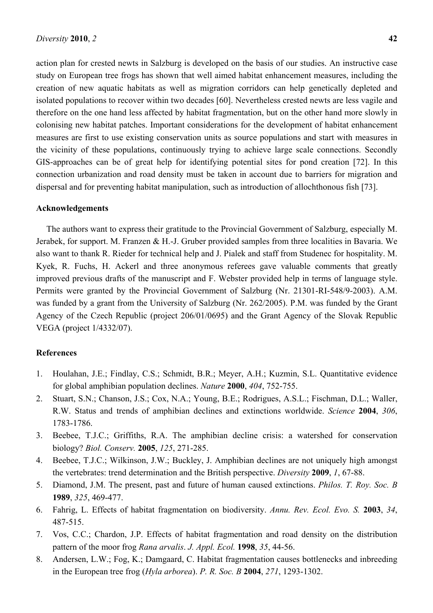action plan for crested newts in Salzburg is developed on the basis of our studies. An instructive case study on European tree frogs has shown that well aimed habitat enhancement measures, including the creation of new aquatic habitats as well as migration corridors can help genetically depleted and isolated populations to recover within two decades [60]. Nevertheless crested newts are less vagile and therefore on the one hand less affected by habitat fragmentation, but on the other hand more slowly in colonising new habitat patches. Important considerations for the development of habitat enhancement measures are first to use existing conservation units as source populations and start with measures in the vicinity of these populations, continuously trying to achieve large scale connections. Secondly GIS-approaches can be of great help for identifying potential sites for pond creation [72]. In this connection urbanization and road density must be taken in account due to barriers for migration and dispersal and for preventing habitat manipulation, such as introduction of allochthonous fish [73].

#### **Acknowledgements**

The authors want to express their gratitude to the Provincial Government of Salzburg, especially M. Jerabek, for support. M. Franzen & H.-J. Gruber provided samples from three localities in Bavaria. We also want to thank R. Rieder for technical help and J. Pialek and staff from Studenec for hospitality. M. Kyek, R. Fuchs, H. Ackerl and three anonymous referees gave valuable comments that greatly improved previous drafts of the manuscript and F. Webster provided help in terms of language style. Permits were granted by the Provincial Government of Salzburg (Nr. 21301-RI-548/9-2003). A.M. was funded by a grant from the University of Salzburg (Nr. 262/2005). P.M. was funded by the Grant Agency of the Czech Republic (project 206/01/0695) and the Grant Agency of the Slovak Republic VEGA (project 1/4332/07).

### **References**

- 1. Houlahan, J.E.; Findlay, C.S.; Schmidt, B.R.; Meyer, A.H.; Kuzmin, S.L. Quantitative evidence for global amphibian population declines. *Nature* **2000**, *404*, 752-755.
- 2. Stuart, S.N.; Chanson, J.S.; Cox, N.A.; Young, B.E.; Rodrigues, A.S.L.; Fischman, D.L.; Waller, R.W. Status and trends of amphibian declines and extinctions worldwide. *Science* **2004**, *306*, 1783-1786.
- 3. Beebee, T.J.C.; Griffiths, R.A. The amphibian decline crisis: a watershed for conservation biology? *Biol. Conserv.* **2005**, *125*, 271-285.
- 4. Beebee, T.J.C.; Wilkinson, J.W.; Buckley, J. Amphibian declines are not uniquely high amongst the vertebrates: trend determination and the British perspective. *Diversity* **2009**, *1*, 67-88.
- 5. Diamond, J.M. The present, past and future of human caused extinctions. *Philos. T. Roy. Soc. B* **1989**, *325*, 469-477.
- 6. Fahrig, L. Effects of habitat fragmentation on biodiversity. *Annu. Rev. Ecol. Evo. S.* **2003**, *34*, 487-515.
- 7. Vos, C.C.; Chardon, J.P. Effects of habitat fragmentation and road density on the distribution pattern of the moor frog *Rana arvalis*. *J. Appl. Ecol.* **1998**, *35*, 44-56.
- 8. Andersen, L.W.; Fog, K.; Damgaard, C. Habitat fragmentation causes bottlenecks and inbreeding in the European tree frog (*Hyla arborea*). *P. R. Soc. B* **2004**, *271*, 1293-1302.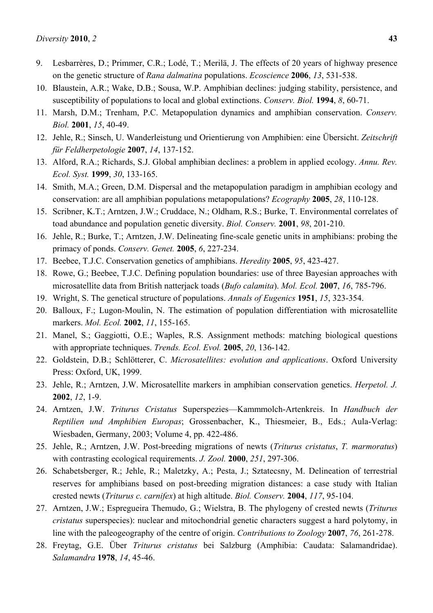- 9. Lesbarrères, D.; Primmer, C.R.; Lodé, T.; Merilä, J. The effects of 20 years of highway presence on the genetic structure of *Rana dalmatina* populations. *Ecoscience* **2006**, *13*, 531-538.
- 10. Blaustein, A.R.; Wake, D.B.; Sousa, W.P. Amphibian declines: judging stability, persistence, and susceptibility of populations to local and global extinctions. *Conserv. Biol.* **1994**, *8*, 60-71.
- 11. Marsh, D.M.; Trenham, P.C. Metapopulation dynamics and amphibian conservation. *Conserv. Biol.* **2001**, *15*, 40-49.
- 12. Jehle, R.; Sinsch, U. Wanderleistung und Orientierung von Amphibien: eine Übersicht. *Zeitschrift für Feldherpetologie* **2007**, *14*, 137-152.
- 13. Alford, R.A.; Richards, S.J. Global amphibian declines: a problem in applied ecology. *Annu. Rev. Ecol. Syst.* **1999**, *30*, 133-165.
- 14. Smith, M.A.; Green, D.M. Dispersal and the metapopulation paradigm in amphibian ecology and conservation: are all amphibian populations metapopulations? *Ecography* **2005**, *28*, 110-128.
- 15. Scribner, K.T.; Arntzen, J.W.; Cruddace, N.; Oldham, R.S.; Burke, T. Environmental correlates of toad abundance and population genetic diversity. *Biol. Conserv.* **2001**, *98*, 201-210.
- 16. Jehle, R.; Burke, T.; Arntzen, J.W. Delineating fine-scale genetic units in amphibians: probing the primacy of ponds. *Conserv. Genet.* **2005**, *6*, 227-234.
- 17. Beebee, T.J.C. Conservation genetics of amphibians. *Heredity* **2005**, *95*, 423-427.
- 18. Rowe, G.; Beebee, T.J.C. Defining population boundaries: use of three Bayesian approaches with microsatellite data from British natterjack toads (*Bufo calamita*). *Mol. Ecol.* **2007**, *16*, 785-796.
- 19. Wright, S. The genetical structure of populations. *Annals of Eugenics* **1951**, *15*, 323-354.
- 20. Balloux, F.; Lugon-Moulin, N. The estimation of population differentiation with microsatellite markers. *Mol. Ecol.* **2002**, *11*, 155-165.
- 21. Manel, S.; Gaggiotti, O.E.; Waples, R.S. Assignment methods: matching biological questions with appropriate techniques. *Trends. Ecol. Evol.* **2005**, *20*, 136-142.
- 22. Goldstein, D.B.; Schlötterer, C. *Microsatellites: evolution and applications*. Oxford University Press: Oxford, UK, 1999.
- 23. Jehle, R.; Arntzen, J.W. Microsatellite markers in amphibian conservation genetics. *Herpetol. J.*  **2002**, *12*, 1-9.
- 24. Arntzen, J.W. *Triturus Cristatus* Superspezies—Kammmolch-Artenkreis. In *Handbuch der Reptilien und Amphibien Europas*; Grossenbacher, K., Thiesmeier, B., Eds.; Aula-Verlag: Wiesbaden, Germany, 2003; Volume 4, pp. 422-486.
- 25. Jehle, R.; Arntzen, J.W. Post-breeding migrations of newts (*Triturus cristatus*, *T. marmoratus*) with contrasting ecological requirements. *J. Zool.* **2000**, *251*, 297-306.
- 26. Schabetsberger, R.; Jehle, R.; Maletzky, A.; Pesta, J.; Sztatecsny, M. Delineation of terrestrial reserves for amphibians based on post-breeding migration distances: a case study with Italian crested newts (*Triturus c. carnifex*) at high altitude. *Biol. Conserv.* **2004**, *117*, 95-104.
- 27. Arntzen, J.W.; Espregueira Themudo, G.; Wielstra, B. The phylogeny of crested newts (*Triturus cristatus* superspecies): nuclear and mitochondrial genetic characters suggest a hard polytomy, in line with the paleogeography of the centre of origin. *Contributions to Zoology* **2007**, *76*, 261-278.
- 28. Freytag, G.E. Über *Triturus cristatus* bei Salzburg (Amphibia: Caudata: Salamandridae). *Salamandra* **1978**, *14*, 45-46.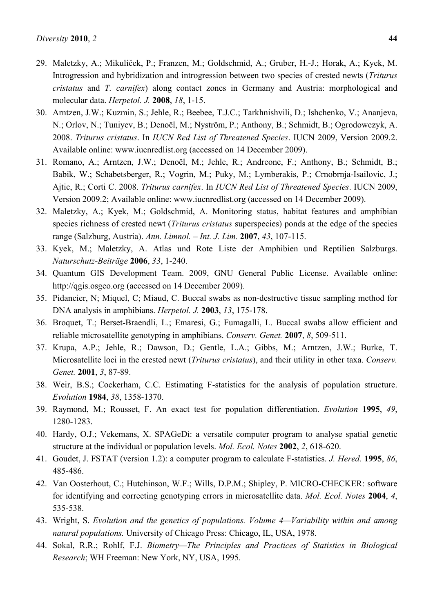- 29. Maletzky, A.; Mikulíček, P.; Franzen, M.; Goldschmid, A.; Gruber, H.-J.; Horak, A.; Kyek, M. Introgression and hybridization and introgression between two species of crested newts (*Triturus cristatus* and *T. carnifex*) along contact zones in Germany and Austria: morphological and molecular data. *Herpetol. J.* **2008**, *18*, 1-15.
- 30. Arntzen, J.W.; Kuzmin, S.; Jehle, R.; Beebee, T.J.C.; Tarkhnishvili, D.; Ishchenko, V.; Ananjeva, N.; Orlov, N.; Tuniyev, B.; Denoël, M.; Nyström, P.; Anthony, B.; Schmidt, B.; Ogrodowczyk, A. 2008. *Triturus cristatus*. In *IUCN Red List of Threatened Species*. IUCN 2009, Version 2009.2. Available online: www.iucnredlist.org (accessed on 14 December 2009).
- 31. Romano, A.; Arntzen, J.W.; Denoël, M.; Jehle, R.; Andreone, F.; Anthony, B.; Schmidt, B.; Babik, W.; Schabetsberger, R.; Vogrin, M.; Puky, M.; Lymberakis, P.; Crnobrnja-Isailovic, J.; Ajtic, R.; Corti C. 2008. *Triturus carnifex*. In *IUCN Red List of Threatened Species*. IUCN 2009, Version 2009.2; Available online: www.iucnredlist.org (accessed on 14 December 2009).
- 32. Maletzky, A.; Kyek, M.; Goldschmid, A. Monitoring status, habitat features and amphibian species richness of crested newt (*Triturus cristatus* superspecies) ponds at the edge of the species range (Salzburg, Austria). *Ann. Limnol. – Int. J. Lim.* **2007**, *43*, 107-115.
- 33. Kyek, M.; Maletzky, A. Atlas und Rote Liste der Amphibien und Reptilien Salzburgs. *Naturschutz-Beiträge* **2006**, *33*, 1-240.
- 34. Quantum GIS Development Team. 2009, GNU General Public License. Available online: http://qgis.osgeo.org (accessed on 14 December 2009).
- 35. Pidancier, N; Miquel, C; Miaud, C. Buccal swabs as non-destructive tissue sampling method for DNA analysis in amphibians. *Herpetol. J.* **2003**, *13*, 175-178.
- 36. Broquet, T.; Berset-Braendli, L.; Emaresi, G.; Fumagalli, L. Buccal swabs allow efficient and reliable microsatellite genotyping in amphibians. *Conserv. Genet.* **2007**, *8*, 509-511.
- 37. Krupa, A.P.; Jehle, R.; Dawson, D.; Gentle, L.A.; Gibbs, M.; Arntzen, J.W.; Burke, T. Microsatellite loci in the crested newt (*Triturus cristatus*), and their utility in other taxa. *Conserv. Genet.* **2001**, *3*, 87-89.
- 38. Weir, B.S.; Cockerham, C.C. Estimating F-statistics for the analysis of population structure. *Evolution* **1984**, *38*, 1358-1370.
- 39. Raymond, M.; Rousset, F. An exact test for population differentiation. *Evolution* **1995**, *49*, 1280-1283.
- 40. Hardy, O.J.; Vekemans, X. SPAGeDi: a versatile computer program to analyse spatial genetic structure at the individual or population levels. *Mol. Ecol. Notes* **2002**, *2*, 618-620.
- 41. Goudet, J. FSTAT (version 1.2): a computer program to calculate F-statistics. *J. Hered.* **1995**, *86*, 485-486.
- 42. Van Oosterhout, C.; Hutchinson, W.F.; Wills, D.P.M.; Shipley, P. MICRO-CHECKER: software for identifying and correcting genotyping errors in microsatellite data. *Mol. Ecol. Notes* **2004**, *4*, 535-538.
- 43. Wright, S. *Evolution and the genetics of populations. Volume 4—Variability within and among natural populations.* University of Chicago Press: Chicago, IL, USA, 1978.
- 44. Sokal, R.R.; Rohlf, F.J. *Biometry—The Principles and Practices of Statistics in Biological Research*; WH Freeman: New York, NY, USA, 1995.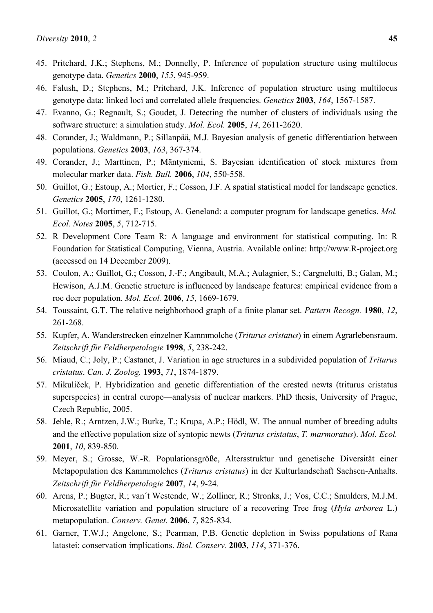- 45. Pritchard, J.K.; Stephens, M.; Donnelly, P. Inference of population structure using multilocus genotype data. *Genetics* **2000**, *155*, 945-959.
- 46. Falush, D.; Stephens, M.; Pritchard, J.K. Inference of population structure using multilocus genotype data: linked loci and correlated allele frequencies. *Genetics* **2003**, *164*, 1567-1587.
- 47. Evanno, G.; Regnault, S.; Goudet, J. Detecting the number of clusters of individuals using the software structure: a simulation study. *Mol. Ecol.* **2005**, *14*, 2611-2620.
- 48. Corander, J.; Waldmann, P.; Sillanpää, M.J. Bayesian analysis of genetic differentiation between populations. *Genetics* **2003**, *163*, 367-374.
- 49. Corander, J.; Marttinen, P.; Mäntyniemi, S. Bayesian identification of stock mixtures from molecular marker data. *Fish. Bull.* **2006**, *104*, 550-558.
- 50. Guillot, G.; Estoup, A.; Mortier, F.; Cosson, J.F. A spatial statistical model for landscape genetics. *Genetics* **2005**, *170*, 1261-1280.
- 51. Guillot, G.; Mortimer, F.; Estoup, A. Geneland: a computer program for landscape genetics. *Mol. Ecol. Notes* **2005**, *5*, 712-715.
- 52. R Development Core Team R: A language and environment for statistical computing. In: R Foundation for Statistical Computing, Vienna, Austria. Available online: http://www.R-project.org (accessed on 14 December 2009).
- 53. Coulon, A.; Guillot, G.; Cosson, J.-F.; Angibault, M.A.; Aulagnier, S.; Cargnelutti, B.; Galan, M.; Hewison, A.J.M. Genetic structure is influenced by landscape features: empirical evidence from a roe deer population. *Mol. Ecol.* **2006**, *15*, 1669-1679.
- 54. Toussaint, G.T. The relative neighborhood graph of a finite planar set. *Pattern Recogn.* **1980**, *12*, 261-268.
- 55. Kupfer, A. Wanderstrecken einzelner Kammmolche (*Triturus cristatus*) in einem Agrarlebensraum. *Zeitschrift für Feldherpetologie* **1998**, *5*, 238-242.
- 56. Miaud, C.; Joly, P.; Castanet, J. Variation in age structures in a subdivided population of *Triturus cristatus*. *Can. J. Zoolog.* **1993**, *71*, 1874-1879.
- 57. Mikulíček, P. Hybridization and genetic differentiation of the crested newts (triturus cristatus superspecies) in central europe—analysis of nuclear markers. PhD thesis, University of Prague, Czech Republic, 2005.
- 58. Jehle, R.; Arntzen, J.W.; Burke, T.; Krupa, A.P.; Hödl, W. The annual number of breeding adults and the effective population size of syntopic newts (*Triturus cristatus*, *T. marmoratus*). *Mol. Ecol.*  **2001**, *10*, 839-850.
- 59. Meyer, S.; Grosse, W.-R. Populationsgröße, Altersstruktur und genetische Diversität einer Metapopulation des Kammmolches (*Triturus cristatus*) in der Kulturlandschaft Sachsen-Anhalts. *Zeitschrift für Feldherpetologie* **2007**, *14*, 9-24.
- 60. Arens, P.; Bugter, R.; van´t Westende, W.; Zolliner, R.; Stronks, J.; Vos, C.C.; Smulders, M.J.M. Microsatellite variation and population structure of a recovering Tree frog (*Hyla arborea* L.) metapopulation. *Conserv. Genet.* **2006**, *7*, 825-834.
- 61. Garner, T.W.J.; Angelone, S.; Pearman, P.B. Genetic depletion in Swiss populations of Rana latastei: conservation implications. *Biol. Conserv.* **2003**, *114*, 371-376.